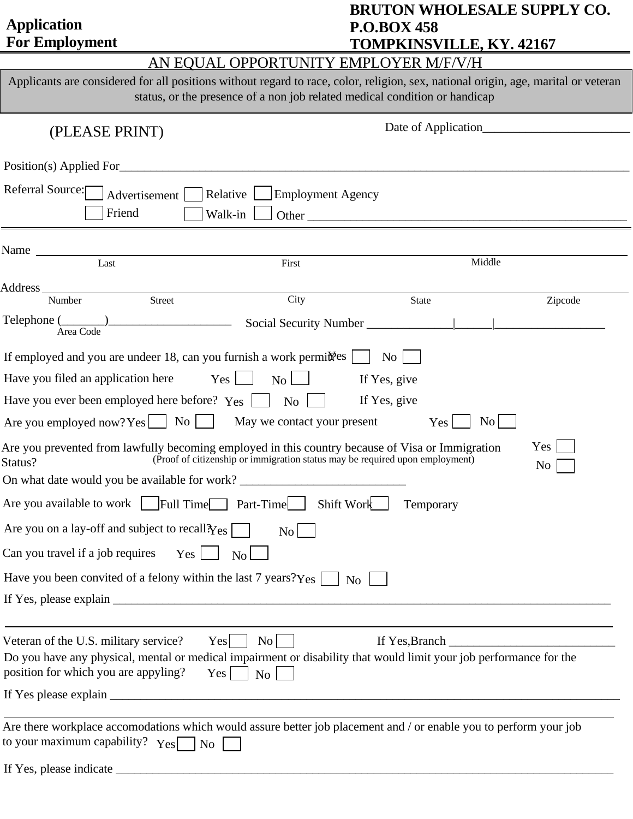| <b>Application</b><br><b>For Employment</b>                                                                                                                                                                                                                             | <b>BRUTON WHOLESALE SUPPLY CO.</b><br><b>P.O.BOX 458</b><br><b>TOMPKINSVILLE, KY. 42167</b> |  |  |  |  |  |  |
|-------------------------------------------------------------------------------------------------------------------------------------------------------------------------------------------------------------------------------------------------------------------------|---------------------------------------------------------------------------------------------|--|--|--|--|--|--|
|                                                                                                                                                                                                                                                                         | AN EQUAL OPPORTUNITY EMPLOYER M/F/V/H                                                       |  |  |  |  |  |  |
| Applicants are considered for all positions without regard to race, color, religion, sex, national origin, age, marital or veteran<br>status, or the presence of a non job related medical condition or handicap                                                        |                                                                                             |  |  |  |  |  |  |
| (PLEASE PRINT)                                                                                                                                                                                                                                                          |                                                                                             |  |  |  |  |  |  |
| Position(s) Applied For                                                                                                                                                                                                                                                 |                                                                                             |  |  |  |  |  |  |
| Referral Source:<br>Relative  <br>Advertisement  <br>Friend<br>Walk-in                                                                                                                                                                                                  | <b>Employment Agency</b>                                                                    |  |  |  |  |  |  |
|                                                                                                                                                                                                                                                                         |                                                                                             |  |  |  |  |  |  |
| Last<br>First                                                                                                                                                                                                                                                           | Middle                                                                                      |  |  |  |  |  |  |
| City<br><b>Street</b><br>Number                                                                                                                                                                                                                                         | <b>State</b><br>Zipcode                                                                     |  |  |  |  |  |  |
| $Telephone (\_\_)$<br>Area Code                                                                                                                                                                                                                                         |                                                                                             |  |  |  |  |  |  |
| If employed and you are undeer 18, can you furnish a work permit es                                                                                                                                                                                                     | $\overline{N_{O}}$                                                                          |  |  |  |  |  |  |
| Have you filed an application here<br>$Yes \mid$<br>No <sub>l</sub>                                                                                                                                                                                                     | If Yes, give                                                                                |  |  |  |  |  |  |
| Have you ever been employed here before? Yes<br>N <sub>o</sub>                                                                                                                                                                                                          | If Yes, give                                                                                |  |  |  |  |  |  |
| No<br>Are you employed now? Yes $\Box$<br>May we contact your present<br><b>Contract</b>                                                                                                                                                                                | N <sub>o</sub><br>Yes                                                                       |  |  |  |  |  |  |
| Are you prevented from lawfully becoming employed in this country because of Visa or Immigration<br>Status?<br>On what date would you be available for work?                                                                                                            | Yes<br>(Proof of citizenship or immigration status may be required upon employment)<br>No   |  |  |  |  |  |  |
| Are you available to work Full Time Part-Time                                                                                                                                                                                                                           | Shift Work                                                                                  |  |  |  |  |  |  |
| Are you on a lay-off and subject to recall $\gamma_{es}$                                                                                                                                                                                                                | Temporary                                                                                   |  |  |  |  |  |  |
| No                                                                                                                                                                                                                                                                      |                                                                                             |  |  |  |  |  |  |
| Can you travel if a job requires<br>Yes<br>No                                                                                                                                                                                                                           |                                                                                             |  |  |  |  |  |  |
| Have you been convited of a felony within the last 7 years? $Yes$                                                                                                                                                                                                       | No.                                                                                         |  |  |  |  |  |  |
|                                                                                                                                                                                                                                                                         |                                                                                             |  |  |  |  |  |  |
| Veteran of the U.S. military service?<br>No <sub>1</sub><br>Yes<br>Do you have any physical, mental or medical impairment or disability that would limit your job performance for the<br>position for which you are appyling?<br>Yes <sup>1</sup><br>$\overline{N_{O}}$ | If Yes, Branch<br><u> 1980 - Jan Samuel Barbara, martin di</u>                              |  |  |  |  |  |  |
|                                                                                                                                                                                                                                                                         |                                                                                             |  |  |  |  |  |  |
| Are there workplace accomodations which would assure better job placement and / or enable you to perform your job<br>to your maximum capability? $Y_{\text{es}}$<br>N <sub>o</sub>                                                                                      |                                                                                             |  |  |  |  |  |  |
|                                                                                                                                                                                                                                                                         |                                                                                             |  |  |  |  |  |  |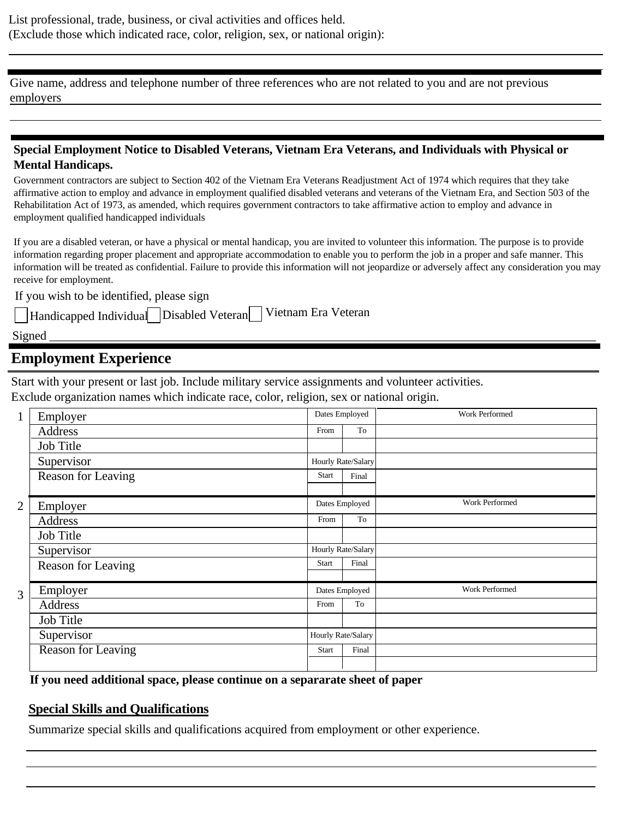Give name, address and telephone number of three references who are not related to you and are not previous employers

## **Special Employment Notice to Disabled Veterans, Vietnam Era Veterans, and Individuals with Physical or Mental Handicaps.**

Government contractors are subject to Section 402 of the Vietnam Era Veterans Readjustment Act of 1974 which requires that they take affirmative action to employ and advance in employment qualified disabled veterans and veterans of the Vietnam Era, and Section 503 of the Rehabilitation Act of 1973, as amended, which requires government contractors to take affirmative action to employ and advance in employment qualified handicapped individuals

If you are a disabled veteran, or have a physical or mental handicap, you are invited to volunteer this information. The purpose is to provide information regarding proper placement and appropriate accommodation to enable you to perform the job in a proper and safe manner. This information will be treated as confidential. Failure to provide this information will not jeopardize or adversely affect any consideration you may receive for employment.

If you wish to be identified, please sign

Handicapped Individual Disabled Veteran Vietnam Era Veteran

Signed \_\_\_\_\_\_\_\_\_\_\_\_\_\_\_\_\_\_\_\_\_\_\_\_\_\_\_\_\_\_\_\_\_\_\_\_\_\_\_\_\_\_\_\_\_\_\_\_\_\_\_\_\_\_\_\_\_\_\_\_\_\_\_\_\_\_\_\_\_\_\_\_\_\_\_\_\_\_\_\_\_\_\_\_\_\_\_\_\_

## **Employment Experience**

Start with your present or last job. Include military service assignments and volunteer activities.

Exclude organization names which indicate race, color, religion, sex or national origin.

| $\mathbf{1}$   | Employer                  | Dates Employed     |       | Work Performed        |
|----------------|---------------------------|--------------------|-------|-----------------------|
|                | Address                   | From               | To    |                       |
|                | Job Title                 |                    |       |                       |
|                | Supervisor                | Hourly Rate/Salary |       |                       |
|                | <b>Reason for Leaving</b> | <b>Start</b>       | Final |                       |
|                |                           |                    |       |                       |
| $\overline{2}$ | Employer                  | Dates Employed     |       | Work Performed        |
|                | Address                   | From               | To    |                       |
|                | Job Title                 |                    |       |                       |
|                | Supervisor                | Hourly Rate/Salary |       |                       |
|                | Reason for Leaving        | <b>Start</b>       | Final |                       |
|                |                           |                    |       |                       |
| 3              | Employer                  | Dates Employed     |       | <b>Work Performed</b> |
|                | Address                   | From               | To    |                       |
|                | Job Title                 |                    |       |                       |
|                | Supervisor                | Hourly Rate/Salary |       |                       |
|                | <b>Reason for Leaving</b> | <b>Start</b>       | Final |                       |
|                |                           |                    |       |                       |

**If you need additional space, please continue on a separarate sheet of paper**

## **Special Skills and Qualifications**

Summarize special skills and qualifications acquired from employment or other experience.